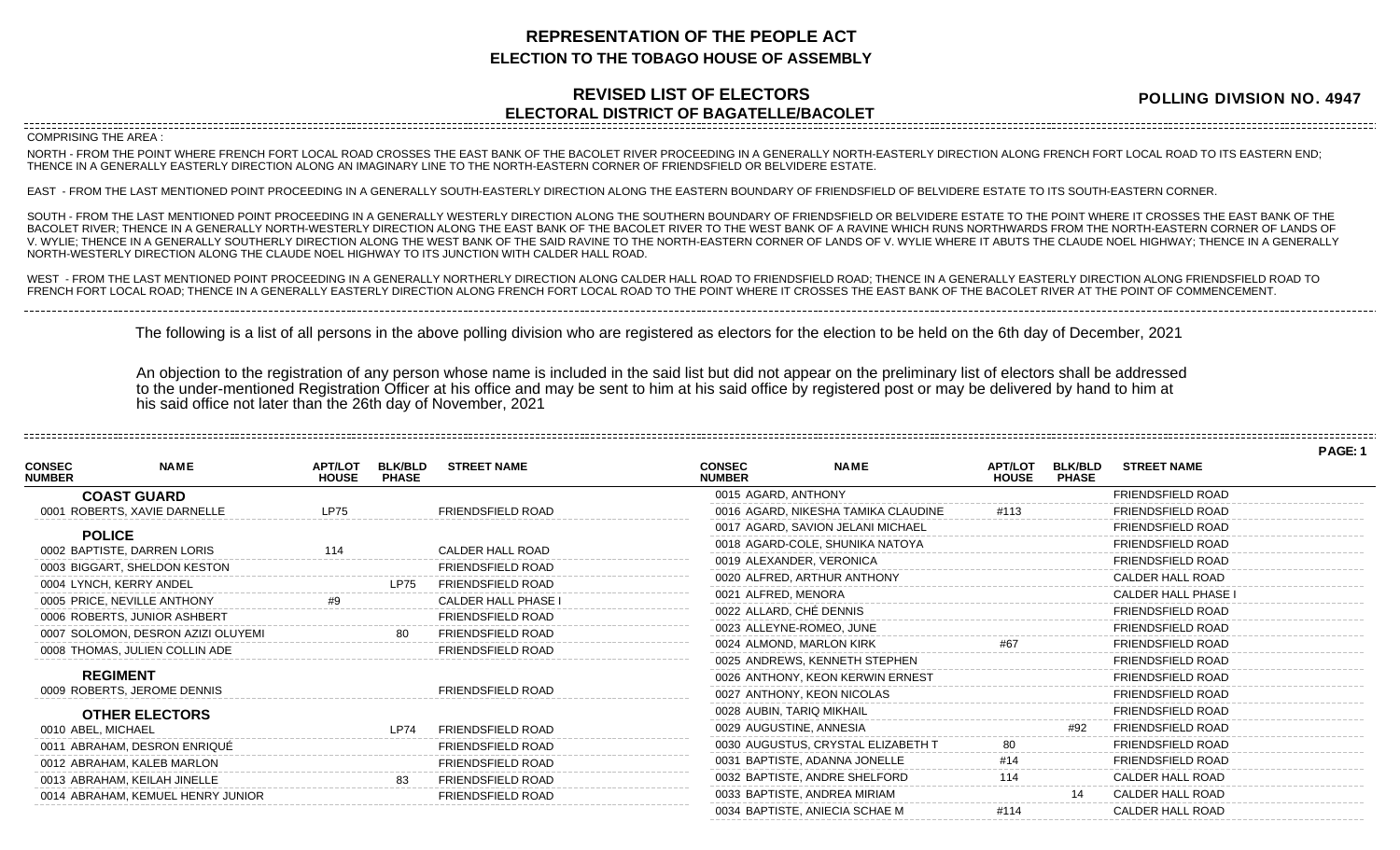## **REPRESENTATION OF THE PEOPLE ACT ELECTION TO THE TOBAGO HOUSE OF ASSEMBLY**

## **REVISED LIST OF ELECTORS ELECTORAL DISTRICT OF BAGATELLE/BACOLET**

**POLLING DIVISION NO. 4947**

COMPRISING THE AREA :

NORTH - FROM THE POINT WHERE FRENCH FORT LOCAL ROAD CROSSES THE EAST BANK OF THE BACOLET RIVER PROCEEDING IN A GENERALLY NORTH-EASTERLY DIRECTION ALONG FRENCH FORT LOCAL ROAD TO ITS EASTERN END; THENCE IN A GENERALLY EASTERLY DIRECTION ALONG AN IMAGINARY LINE TO THE NORTH-EASTERN CORNER OF FRIENDSFIELD OR BELVIDERE ESTATE.

EAST - FROM THE LAST MENTIONED POINT PROCEEDING IN A GENERALLY SOUTH-EASTERLY DIRECTION ALONG THE EASTERN BOUNDARY OF FRIENDSFIELD OF BELVIDERE ESTATE TO ITS SOUTH-EASTERN CORNER.

SOUTH - FROM THE LAST MENTIONED POINT PROCEEDING IN A GENERALLY WESTERLY DIRECTION ALONG THE SOUTHERN BOUNDARY OF FRIENDSFIELD OR BELVIDERE ESTATE TO THE POINT WHERE IT CROSSES THE EAST BANK OF THE BACOLET RIVER; THENCE IN A GENERALLY NORTH-WESTERLY DIRECTION ALONG THE EAST BANK OF THE BACOLET RIVER TO THE WEST BANK OF A RAVINE WHICH RUNS NORTHWARDS FROM THE NORTH-EASTERN CORNER OF LANDS OF V. WYLIE; THENCE IN A GENERALLY SOUTHERLY DIRECTION ALONG THE WEST BANK OF THE SAID RAVINE TO THE NORTH-EASTERN CORNER OF LANDS OF V. WYLIE WHERE IT ABUTS THE CLAUDE NOEL HIGHWAY; THENCE IN A GENERALLY NORTH-WESTERLY DIRECTION ALONG THE CLAUDE NOEL HIGHWAY TO ITS JUNCTION WITH CALDER HALL ROAD.

WEST - FROM THE LAST MENTIONED POINT PROCEEDING IN A GENERALLY NORTHERLY DIRECTION ALONG CALDER HALL ROAD TO FRIENDSFIELD ROAD; THENCE IN A GENERALLY EASTERLY DIRECTION ALONG FRIENDSFIELD ROAD TO FRENCH FORT LOCAL ROAD; THENCE IN A GENERALLY EASTERLY DIRECTION ALONG FRENCH FORT LOCAL ROAD TO THE POINT WHERE IT CROSSES THE EAST BANK OF THE BACOLET RIVER AT THE POINT OF COMMENCEMENT.

The following is a list of all persons in the above polling division who are registered as electors for the election to be held on the 6th day of December, 2021

An objection to the registration of any person whose name is included in the said list but did not appear on the preliminary list of electors shall be addressed to the under-mentioned Registration Officer at his office and may be sent to him at his said office by registered post or may be delivered by hand to him at his said office not later than the 26th day of November, 2021

**PAGE: 1 NAME APT/LOT BLK/BLD STREET NAME HOUSE CONSEC NUMBER COAST GUARD** 0001 ROBERTS, XAVIE DARNELLE LP75 LP75 FRIENDSFIELD ROAD **POLICE** 0002 BAPTISTE, DARREN LORIS 114 CALDER HALL ROAD 0003 BIGGART, SHELDON KESTON FRIENDSFIELD ROAD 0004 LYNCH, KERRY ANDEL LETTER LETTER LP75 FRIENDSFIELD ROAD 0005 PRICE, NEVILLE ANTHONY #9 #9 CALDER HALL PHASE 0006 ROBERTS, JUNIOR ASHBERT FRIENDSFIELD ROAD 0007 SOLOMON, DESRON AZIZI OLUYEMI 80 FRIENDSFIELD ROAD 0008 THOMAS, JULIEN COLLIN ADE FRIENDSFIELD ROAD **REGIMENT** 0009 ROBERTS, JEROME DENNIS FRIENDSFIELD ROAD **OTHER ELECTORS** 0010 ABEL, MICHAEL LP74 FRIENDSFIELD ROAD 0011 ABRAHAM, DESRON ENRIQUÉ FRIENDSFIELD ROAD 0012 ABRAHAM, KALEB MARLON FRIENDSFIELD ROAD 0013 ABRAHAM, KEILAH JINELLE 83 FRIENDSFIELD ROAD 0014 ABRAHAM, KEMUEL HENRY JUNIOR FRIENDSFIELD ROAD **NAME APT/LOT BLK/BLD STREET NAME HOUSE CONSEC NUMBER** 0015 AGARD, ANTHONY FRIENDSFIELD ROAD 0016 AGARD, NIKESHA TAMIKA CLAUDINE #113 FRIENDSFIELD ROAD 0017 AGARD, SAVION JELANI MICHAEL FRIENDSFIELD ROAD 0018 AGARD-COLE, SHUNIKA NATOYA FRIENDSFIELD ROAD 0019 ALEXANDER, VERONICA FRIENDSFIELD ROAD 0020 ALFRED, ARTHUR ANTHONY CALDER HALL ROAD 0021 ALFRED, MENORA CALDER HALL PHASE I 0022 ALLARD, CHÉ DENNIS FRIENDSFIELD ROAD 0023 ALLEYNE-ROMEO, JUNE THE RESERVE THAT THE RESERVE THE ROAD 0024 ALMOND, MARLON KIRK #67 #67 FRIENDSFIELD ROAD 0025 ANDREWS, KENNETH STEPHEN FRIENDSFIELD ROAD 0026 ANTHONY, KEON KERWIN ERNEST FRIENDSFIELD ROAD 0027 ANTHONY, KEON NICOLAS FRIENDSFIELD ROAD 0028 AUBIN, TARIQ MIKHAIL **FRIENDSFIELD ROAD** 0029 AUGUSTINE, ANNESIA #92 FRIENDSFIELD ROAD 0030 AUGUSTUS, CRYSTAL ELIZABETH T 60 80 FRIENDSFIELD ROAD 0031 BAPTISTE, ADANNA JONELLE #14 FRIENDSFIELD ROAD 0032 BAPTISTE, ANDRE SHELFORD 114 CALDER HALL ROAD 0033 BAPTISTE, ANDREA MIRIAM 14 CALDER HALL ROAD 0034 BAPTISTE, ANIECIA SCHAE M  $#114$  CALDER HALL ROAD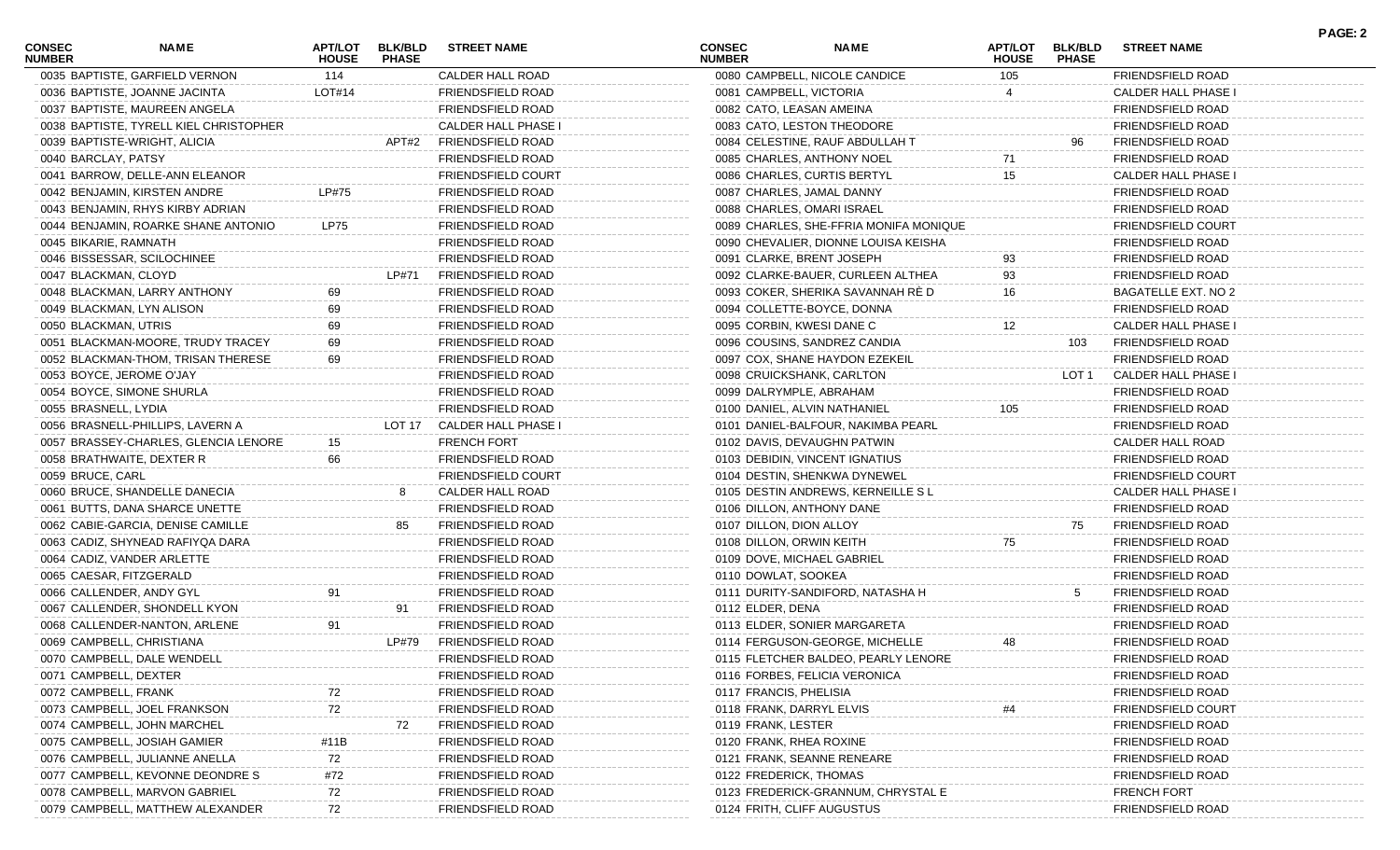| <b>CONSEC</b><br><b>NUMBER</b> | NAME                                   | APT/LOT<br><b>HOUSE</b> | <b>BLK/BLD</b><br><b>PHASE</b> | <b>STREET NAME</b>         | <b>CONSEC</b><br><b>NUMBER</b> | <b>NAME</b>                            | APT/LOT<br><b>HOUSE</b> | <b>BLK/BLD</b><br><b>PHASE</b> | <b>STREET NAME</b>         | <b>PAGE: 2</b> |
|--------------------------------|----------------------------------------|-------------------------|--------------------------------|----------------------------|--------------------------------|----------------------------------------|-------------------------|--------------------------------|----------------------------|----------------|
|                                | 0035 BAPTISTE, GARFIELD VERNON         | 114                     |                                | CALDER HALL ROAD           |                                | 0080 CAMPBELL, NICOLE CANDICE          | 105                     |                                | FRIENDSFIELD ROAD          |                |
|                                | 0036 BAPTISTE, JOANNE JACINTA          | LOT#14                  |                                | <b>FRIENDSFIELD ROAD</b>   | 0081 CAMPBELL, VICTORIA        |                                        |                         |                                | <b>CALDER HALL PHASE I</b> |                |
|                                | 0037 BAPTISTE, MAUREEN ANGELA          |                         |                                | FRIENDSFIELD ROAD          | 0082 CATO, LEASAN AMEINA       |                                        |                         |                                | <b>FRIENDSFIELD ROAD</b>   |                |
|                                | 0038 BAPTISTE, TYRELL KIEL CHRISTOPHER |                         |                                | CALDER HALL PHASE I        |                                | 0083 CATO, LESTON THEODORE             |                         |                                | <b>FRIENDSFIELD ROAD</b>   |                |
|                                | 0039 BAPTISTE-WRIGHT, ALICIA           |                         | APT#2                          | FRIENDSFIELD ROAD          |                                | 0084 CELESTINE, RAUF ABDULLAH T        |                         | 96                             | <b>FRIENDSFIELD ROAD</b>   |                |
| 0040 BARCLAY, PATSY            |                                        |                         |                                | FRIENDSFIELD ROAD          |                                | 0085 CHARLES, ANTHONY NOEL             | 71                      |                                | <b>FRIENDSFIELD ROAD</b>   |                |
|                                | 0041 BARROW, DELLE-ANN ELEANOR         |                         |                                | FRIENDSFIELD COURT         |                                | 0086 CHARLES, CURTIS BERTYL            | 15                      |                                | <b>CALDER HALL PHASE I</b> |                |
|                                | 0042 BENJAMIN, KIRSTEN ANDRE           | LP#75                   |                                | FRIENDSFIELD ROAD          |                                | 0087 CHARLES, JAMAL DANNY              |                         |                                | <b>FRIENDSFIELD ROAD</b>   |                |
|                                | 0043 BENJAMIN, RHYS KIRBY ADRIAN       |                         |                                | FRIENDSFIELD ROAD          |                                | 0088 CHARLES, OMARI ISRAEL             |                         |                                | <b>FRIENDSFIELD ROAD</b>   |                |
|                                | 0044 BENJAMIN, ROARKE SHANE ANTONIO    | LP75                    |                                | FRIENDSFIELD ROAD          |                                | 0089 CHARLES, SHE-FFRIA MONIFA MONIQUE |                         |                                | <b>FRIENDSFIELD COURT</b>  |                |
| 0045 BIKARIE, RAMNATH          |                                        |                         |                                | FRIENDSFIELD ROAD          |                                | 0090 CHEVALIER, DIONNE LOUISA KEISHA   |                         |                                | <b>FRIENDSFIELD ROAD</b>   |                |
|                                | 0046 BISSESSAR, SCILOCHINEE            |                         |                                | FRIENDSFIELD ROAD          |                                | 0091 CLARKE, BRENT JOSEPH              | 93                      |                                | <b>FRIENDSFIELD ROAD</b>   |                |
| 0047 BLACKMAN, CLOYD           |                                        |                         | LP#71                          | FRIENDSFIELD ROAD          |                                | 0092 CLARKE-BAUER, CURLEEN ALTHEA      | 93                      |                                | FRIENDSFIELD ROAD          |                |
|                                | 0048 BLACKMAN, LARRY ANTHONY           | 69                      |                                | FRIENDSFIELD ROAD          |                                | 0093 COKER, SHERIKA SAVANNAH RÉ D      | 16                      |                                | BAGATELLE EXT. NO 2        |                |
|                                | 0049 BLACKMAN, LYN ALISON              | 69                      |                                | FRIENDSFIELD ROAD          |                                | 0094 COLLETTE-BOYCE, DONNA             |                         |                                | <b>FRIENDSFIELD ROAD</b>   |                |
| 0050 BLACKMAN, UTRIS           |                                        | 69                      |                                | FRIENDSFIELD ROAD          | 0095 CORBIN, KWESI DANE C      |                                        | 12                      |                                | <b>CALDER HALL PHASE I</b> |                |
|                                | 0051 BLACKMAN-MOORE, TRUDY TRACEY      | 69                      |                                | FRIENDSFIELD ROAD          |                                | 0096 COUSINS, SANDREZ CANDIA           |                         | 103                            | FRIENDSFIELD ROAD          |                |
|                                | 0052 BLACKMAN-THOM, TRISAN THERESE     | 69                      |                                | FRIENDSFIELD ROAD          |                                | 0097 COX, SHANE HAYDON EZEKEIL         |                         |                                | FRIENDSFIELD ROAD          |                |
|                                | 0053 BOYCE, JEROME O'JAY               |                         |                                | FRIENDSFIELD ROAD          |                                | 0098 CRUICKSHANK, CARLTON              |                         | LOT 1                          | CALDER HALL PHASE I        |                |
|                                | 0054 BOYCE, SIMONE SHURLA              |                         |                                | FRIENDSFIELD ROAD          | 0099 DALRYMPLE, ABRAHAM        |                                        |                         |                                | <b>FRIENDSFIELD ROAD</b>   |                |
| 0055 BRASNELL, LYDIA           |                                        |                         |                                | <b>FRIENDSFIELD ROAD</b>   |                                | 0100 DANIEL, ALVIN NATHANIEL           | 105                     |                                | <b>FRIENDSFIELD ROAD</b>   |                |
|                                | 0056 BRASNELL-PHILLIPS, LAVERN A       |                         |                                | LOT 17 CALDER HALL PHASE I |                                | 0101 DANIEL-BALFOUR, NAKIMBA PEARL     |                         |                                | FRIENDSFIELD ROAD          |                |
|                                | 0057 BRASSEY-CHARLES, GLENCIA LENORE   | 15                      |                                | FRENCH FORT                |                                | 0102 DAVIS, DEVAUGHN PATWIN            |                         |                                | CALDER HALL ROAD           |                |
|                                | 0058 BRATHWAITE, DEXTER R              | 66                      |                                | FRIENDSFIELD ROAD          |                                | 0103 DEBIDIN, VINCENT IGNATIUS         |                         |                                | <b>FRIENDSFIELD ROAD</b>   |                |
| 0059 BRUCE, CARL               |                                        |                         |                                | <b>FRIENDSFIELD COURT</b>  |                                | 0104 DESTIN, SHENKWA DYNEWEL           |                         |                                | <b>FRIENDSFIELD COURT</b>  |                |
|                                | 0060 BRUCE, SHANDELLE DANECIA          |                         | 8                              | <b>CALDER HALL ROAD</b>    |                                | 0105 DESTIN ANDREWS, KERNEILLE SL      |                         |                                | <b>CALDER HALL PHASE I</b> |                |
|                                | 0061 BUTTS, DANA SHARCE UNETTE         |                         |                                | FRIENDSFIELD ROAD          |                                | 0106 DILLON, ANTHONY DANE              |                         |                                | <b>FRIENDSFIELD ROAD</b>   |                |
|                                | 0062 CABIE-GARCIA, DENISE CAMILLE      |                         | 85                             | <b>FRIENDSFIELD ROAD</b>   | 0107 DILLON, DION ALLOY        |                                        |                         | 75                             | FRIENDSFIELD ROAD          |                |
|                                | 0063 CADIZ, SHYNEAD RAFIYQA DARA       |                         |                                | FRIENDSFIELD ROAD          | 0108 DILLON, ORWIN KEITH       |                                        | 75                      |                                | <b>FRIENDSFIELD ROAD</b>   |                |
|                                | 0064 CADIZ, VANDER ARLETTE             |                         |                                | FRIENDSFIELD ROAD          |                                | 0109 DOVE, MICHAEL GABRIEL             |                         |                                | <b>FRIENDSFIELD ROAD</b>   |                |
|                                | 0065 CAESAR, FITZGERALD                |                         |                                | FRIENDSFIELD ROAD          | 0110 DOWLAT, SOOKEA            |                                        |                         |                                | <b>FRIENDSFIELD ROAD</b>   |                |
|                                | 0066 CALLENDER, ANDY GYL               | 91                      |                                | FRIENDSFIELD ROAD          |                                | 0111 DURITY-SANDIFORD, NATASHA H       |                         | 5                              | FRIENDSFIELD ROAD          |                |
|                                | 0067 CALLENDER, SHONDELL KYON          |                         | 91                             | <b>FRIENDSFIELD ROAD</b>   | 0112 ELDER, DENA               |                                        |                         |                                | FRIENDSFIELD ROAD          |                |
|                                | 0068 CALLENDER-NANTON, ARLENE          | 91                      |                                | FRIENDSFIELD ROAD          |                                | 0113 ELDER, SONIER MARGARETA           |                         |                                | FRIENDSFIELD ROAD          |                |
|                                | 0069 CAMPBELL, CHRISTIANA              |                         | LP#79                          | FRIENDSFIELD ROAD          |                                | 0114 FERGUSON-GEORGE, MICHELLE         | 48                      |                                | FRIENDSFIELD ROAD          |                |
|                                | 0070 CAMPBELL, DALE WENDELL            |                         |                                | FRIENDSFIELD ROAD          |                                | 0115 FLETCHER BALDEO, PEARLY LENORE    |                         |                                | <b>FRIENDSFIELD ROAD</b>   |                |
| 0071 CAMPBELL, DEXTER          |                                        |                         |                                | FRIENDSFIELD ROAD          |                                | 0116 FORBES, FELICIA VERONICA          |                         |                                | <b>FRIENDSFIELD ROAD</b>   |                |
| 0072 CAMPBELL, FRANK           |                                        |                         |                                | FRIENDSFIELD ROAD          | 0117 FRANCIS, PHELISIA         |                                        |                         |                                | <b>FRIENDSFIELD ROAD</b>   |                |
|                                | 0073 CAMPBELL, JOEL FRANKSON           | 72                      |                                | FRIENDSFIELD ROAD          | 0118 FRANK, DARRYL ELVIS       |                                        |                         |                                | <b>FRIENDSFIELD COURT</b>  |                |
|                                | 0074 CAMPBELL, JOHN MARCHEL            |                         | 72                             | FRIENDSFIELD ROAD          | 0119 FRANK, LESTER             |                                        |                         |                                | FRIENDSFIELD ROAD          |                |
|                                | 0075 CAMPBELL, JOSIAH GAMIER           | #11B                    |                                | FRIENDSFIELD ROAD          | 0120 FRANK, RHEA ROXINE        |                                        |                         |                                | FRIENDSFIELD ROAD          |                |
|                                | 0076 CAMPBELL, JULIANNE ANELLA         | 72                      |                                | FRIENDSFIELD ROAD          |                                | 0121 FRANK, SEANNE RENEARE             |                         |                                | FRIENDSFIELD ROAD          |                |
|                                | 0077 CAMPBELL, KEVONNE DEONDRE S       | #72                     |                                | FRIENDSFIELD ROAD          | 0122 FREDERICK, THOMAS         |                                        |                         |                                | FRIENDSFIELD ROAD          |                |
|                                | 0078 CAMPBELL, MARVON GABRIEL          | 72                      |                                | FRIENDSFIELD ROAD          |                                | 0123 FREDERICK-GRANNUM, CHRYSTAL E     |                         |                                | <b>FRENCH FORT</b>         |                |
|                                | 0079 CAMPBELL, MATTHEW ALEXANDER       | 72                      |                                | FRIENDSFIELD ROAD          |                                | 0124 FRITH, CLIFF AUGUSTUS             |                         |                                | FRIENDSFIELD ROAD          |                |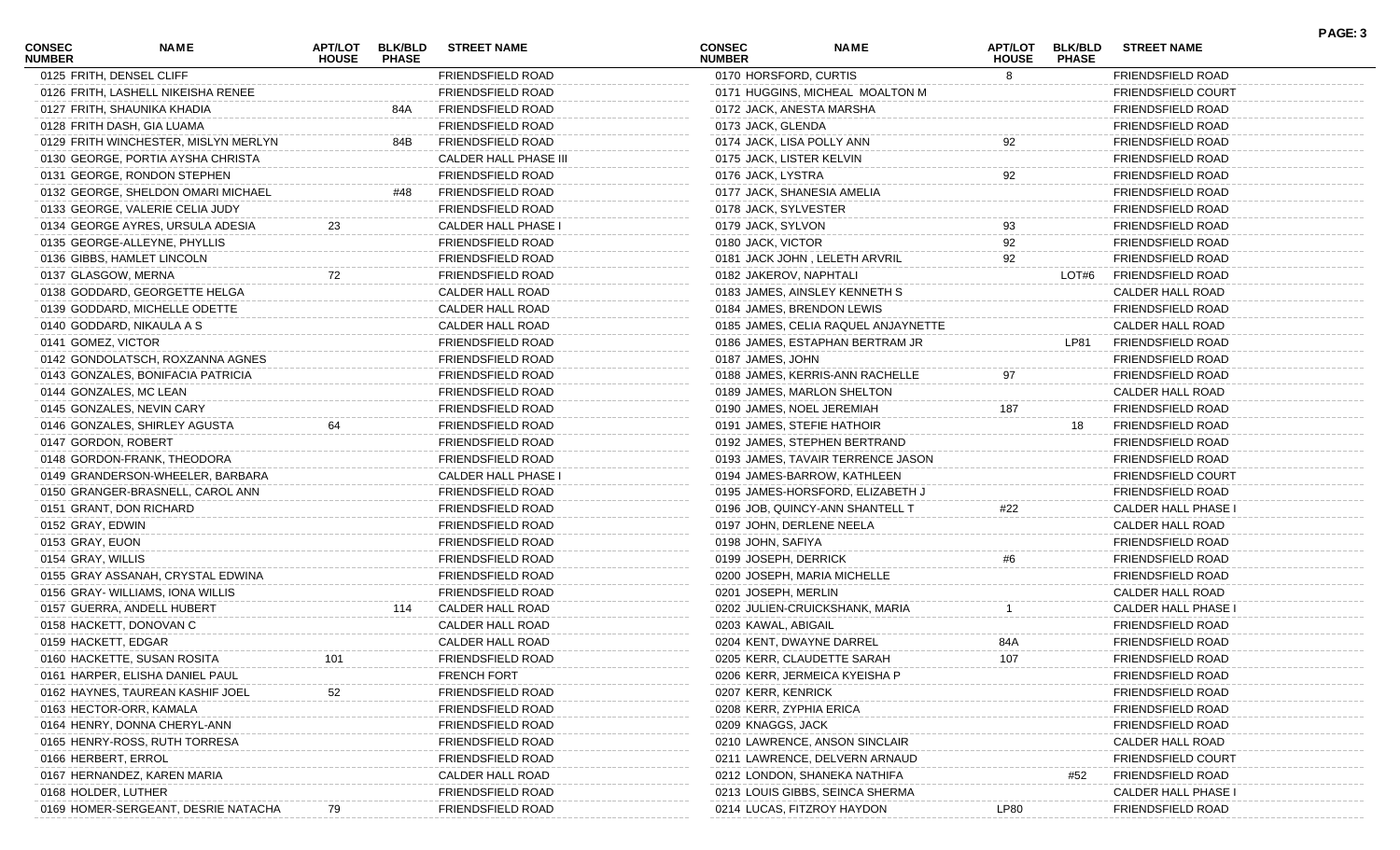| <b>CONSEC</b><br><b>NUMBER</b> | <b>NAME</b>                          | ΑΡΤ/LOT<br><b>HOUSE</b> | <b>BLK/BLD</b><br><b>PHASE</b> | <b>STREET NAME</b>       | CONSEC<br><b>NUMBER</b>   | <b>NAME</b>                         | <b>APT/LOT</b><br><b>HOUSE</b> | <b>BLK/BLD</b><br><b>PHASE</b> | <b>STREET NAME</b>        | PAGE: 3 |
|--------------------------------|--------------------------------------|-------------------------|--------------------------------|--------------------------|---------------------------|-------------------------------------|--------------------------------|--------------------------------|---------------------------|---------|
|                                | 0125 FRITH, DENSEL CLIFF             |                         |                                | FRIENDSFIELD ROAD        | 0170 HORSFORD, CURTIS     |                                     | 8                              |                                | FRIENDSFIELD ROAD         |         |
|                                | 0126 FRITH, LASHELL NIKEISHA RENEE   |                         |                                | <b>FRIENDSFIELD ROAD</b> |                           | 0171 HUGGINS, MICHEAL MOALTON M     |                                |                                | <b>FRIENDSFIELD COURT</b> |         |
|                                | 0127 FRITH, SHAUNIKA KHADIA          |                         | 84A                            | FRIENDSFIELD ROAD        |                           | 0172 JACK, ANESTA MARSHA            |                                |                                | <b>FRIENDSFIELD ROAD</b>  |         |
|                                | 0128 FRITH DASH, GIA LUAMA           |                         |                                | FRIENDSFIELD ROAD        | 0173 JACK, GLENDA         |                                     |                                |                                | FRIENDSFIELD ROAD         |         |
|                                | 0129 FRITH WINCHESTER, MISLYN MERLYN |                         | 84B                            | FRIENDSFIELD ROAD        | 0174 JACK, LISA POLLY ANN |                                     | 92                             |                                | FRIENDSFIELD ROAD         |         |
|                                | 0130 GEORGE, PORTIA AYSHA CHRISTA    |                         |                                | CALDER HALL PHASE III    | 0175 JACK, LISTER KELVIN  |                                     |                                |                                | <b>FRIENDSFIELD ROAD</b>  |         |
|                                | 0131 GEORGE, RONDON STEPHEN          |                         |                                | <b>FRIENDSFIELD ROAD</b> | 0176 JACK, LYSTRA         |                                     | 92                             |                                | <b>FRIENDSFIELD ROAD</b>  |         |
|                                | 0132 GEORGE, SHELDON OMARI MICHAEL   |                         | #48                            | FRIENDSFIELD ROAD        |                           | 0177 JACK, SHANESIA AMELIA          |                                |                                | FRIENDSFIELD ROAD         |         |
|                                | 0133 GEORGE, VALERIE CELIA JUDY      |                         |                                | FRIENDSFIELD ROAD        | 0178 JACK, SYLVESTER      |                                     |                                |                                | FRIENDSFIELD ROAD         |         |
|                                | 0134 GEORGE AYRES, URSULA ADESIA     | 23                      |                                | CALDER HALL PHASE I      | 0179 JACK, SYLVON         |                                     | 93                             |                                | <b>FRIENDSFIELD ROAD</b>  |         |
|                                | 0135 GEORGE-ALLEYNE, PHYLLIS         |                         |                                | FRIENDSFIELD ROAD        | 0180 JACK, VICTOR         |                                     | 92                             |                                | <b>FRIENDSFIELD ROAD</b>  |         |
|                                | 0136 GIBBS, HAMLET LINCOLN           |                         |                                | FRIENDSFIELD ROAD        |                           | 0181 JACK JOHN, LELETH ARVRIL       | 92                             |                                | FRIENDSFIELD ROAD         |         |
| 0137 GLASGOW, MERNA            |                                      | 72                      |                                | FRIENDSFIELD ROAD        | 0182 JAKEROV, NAPHTALI    |                                     |                                | LOT#6                          | FRIENDSFIELD ROAD         |         |
|                                | 0138 GODDARD, GEORGETTE HELGA        |                         |                                | CALDER HALL ROAD         |                           | 0183 JAMES, AINSLEY KENNETH S       |                                |                                | CALDER HALL ROAD          |         |
|                                | 0139 GODDARD, MICHELLE ODETTE        |                         |                                | CALDER HALL ROAD         |                           | 0184 JAMES, BRENDON LEWIS           |                                |                                | <b>FRIENDSFIELD ROAD</b>  |         |
|                                | 0140 GODDARD, NIKAULA A S            |                         |                                | CALDER HALL ROAD         |                           | 0185 JAMES, CELIA RAQUEL ANJAYNETTE |                                |                                | CALDER HALL ROAD          |         |
| 0141 GOMEZ, VICTOR             |                                      |                         |                                | FRIENDSFIELD ROAD        |                           | 0186 JAMES, ESTAPHAN BERTRAM JR     |                                | LP81                           | FRIENDSFIELD ROAD         |         |
|                                | 0142 GONDOLATSCH, ROXZANNA AGNES     |                         |                                | FRIENDSFIELD ROAD        | 0187 JAMES, JOHN          |                                     |                                |                                | <b>FRIENDSFIELD ROAD</b>  |         |
|                                | 0143 GONZALES, BONIFACIA PATRICIA    |                         |                                | FRIENDSFIELD ROAD        |                           | 0188 JAMES, KERRIS-ANN RACHELLE     | 97                             |                                | <b>FRIENDSFIELD ROAD</b>  |         |
|                                | 0144 GONZALES, MC LEAN               |                         |                                | FRIENDSFIELD ROAD        |                           | 0189 JAMES, MARLON SHELTON          |                                |                                | CALDER HALL ROAD          |         |
|                                | 0145 GONZALES, NEVIN CARY            |                         |                                | FRIENDSFIELD ROAD        |                           | 0190 JAMES, NOEL JEREMIAH           | 187                            |                                | FRIENDSFIELD ROAD         |         |
|                                | 0146 GONZALES, SHIRLEY AGUSTA        | 64                      |                                | FRIENDSFIELD ROAD        |                           | 0191 JAMES, STEFIE HATHOIR          |                                | 18                             | FRIENDSFIELD ROAD         |         |
| 0147 GORDON, ROBERT            |                                      |                         |                                | FRIENDSFIELD ROAD        |                           | 0192 JAMES, STEPHEN BERTRAND        |                                |                                | <b>FRIENDSFIELD ROAD</b>  |         |
|                                | 0148 GORDON-FRANK, THEODORA          |                         |                                | FRIENDSFIELD ROAD        |                           | 0193 JAMES, TAVAIR TERRENCE JASON   |                                |                                | <b>FRIENDSFIELD ROAD</b>  |         |
|                                |                                      |                         |                                | CALDER HALL PHASE I      |                           |                                     |                                |                                | <b>FRIENDSFIELD COURT</b> |         |
|                                | 0149 GRANDERSON-WHEELER, BARBARA     |                         |                                |                          |                           | 0194 JAMES-BARROW, KATHLEEN         |                                |                                |                           |         |
|                                | 0150 GRANGER-BRASNELL, CAROL ANN     |                         |                                | FRIENDSFIELD ROAD        |                           | 0195 JAMES-HORSFORD, ELIZABETH J    |                                |                                | FRIENDSFIELD ROAD         |         |
|                                | 0151 GRANT, DON RICHARD              |                         |                                | FRIENDSFIELD ROAD        |                           | 0196 JOB, QUINCY-ANN SHANTELL T     | #22                            |                                | CALDER HALL PHASE I       |         |
| 0152 GRAY, EDWIN               |                                      |                         |                                | FRIENDSFIELD ROAD        | 0197 JOHN, DERLENE NEELA  |                                     |                                |                                | CALDER HALL ROAD          |         |
| 0153 GRAY, EUON                |                                      |                         |                                | FRIENDSFIELD ROAD        | 0198 JOHN, SAFIYA         |                                     |                                |                                | <b>FRIENDSFIELD ROAD</b>  |         |
| 0154 GRAY, WILLIS              |                                      |                         |                                | FRIENDSFIELD ROAD        | 0199 JOSEPH, DERRICK      |                                     | #6                             |                                | FRIENDSFIELD ROAD         |         |
|                                | 0155 GRAY ASSANAH, CRYSTAL EDWINA    |                         |                                | FRIENDSFIELD ROAD        |                           | 0200 JOSEPH, MARIA MICHELLE         |                                |                                | FRIENDSFIELD ROAD         |         |
|                                | 0156 GRAY- WILLIAMS, IONA WILLIS     |                         |                                | <b>FRIENDSFIELD ROAD</b> | 0201 JOSEPH, MERLIN       |                                     |                                |                                | CALDER HALL ROAD          |         |
|                                | 0157 GUERRA, ANDELL HUBERT           |                         | 114                            | CALDER HALL ROAD         |                           | 0202 JULIEN-CRUICKSHANK, MARIA      |                                |                                | CALDER HALL PHASE I       |         |
|                                | 0158 HACKETT, DONOVAN C              |                         |                                | CALDER HALL ROAD         | 0203 KAWAL, ABIGAIL       |                                     |                                |                                | FRIENDSFIELD ROAD         |         |
| 0159 HACKETT, EDGAR            |                                      |                         |                                | CALDER HALL ROAD         |                           | 0204 KENT, DWAYNE DARREL            | 84A                            |                                | FRIENDSFIELD ROAD         |         |
|                                | 0160 HACKETTE, SUSAN ROSITA          | 101                     |                                | FRIENDSFIELD ROAD        |                           | 0205 KERR, CLAUDETTE SARAH          | 107                            |                                | <b>FRIENDSFIELD ROAD</b>  |         |
|                                | 0161 HARPER, ELISHA DANIEL PAUL      |                         |                                | <b>FRENCH FORT</b>       |                           | 0206 KERR, JERMEICA KYEISHA P       |                                |                                | <b>FRIENDSFIELD ROAD</b>  |         |
|                                | 0162 HAYNES, TAUREAN KASHIF JOEL     | 52                      |                                | FRIENDSFIELD ROAD        | 0207 KERR, KENRICK        |                                     |                                |                                | <b>FRIENDSFIELD ROAD</b>  |         |
|                                | 0163 HECTOR-ORR, KAMALA              |                         |                                | FRIENDSFIELD ROAD        | 0208 KERR, ZYPHIA ERICA   |                                     |                                |                                | <b>FRIENDSFIELD ROAD</b>  |         |
|                                | 0164 HENRY, DONNA CHERYL-ANN         |                         |                                | FRIENDSFIELD ROAD        | 0209 KNAGGS, JACK         |                                     |                                |                                | FRIENDSFIELD ROAD         |         |
|                                | 0165 HENRY-ROSS, RUTH TORRESA        |                         |                                | FRIENDSFIELD ROAD        |                           | 0210 LAWRENCE, ANSON SINCLAIR       |                                |                                | CALDER HALL ROAD          |         |
| 0166 HERBERT, ERROL            |                                      |                         |                                | FRIENDSFIELD ROAD        |                           | 0211 LAWRENCE, DELVERN ARNAUD       |                                |                                | <b>FRIENDSFIELD COURT</b> |         |
|                                | 0167 HERNANDEZ, KAREN MARIA          |                         |                                | CALDER HALL ROAD         |                           | 0212 LONDON, SHANEKA NATHIFA        |                                | #52                            | FRIENDSFIELD ROAD         |         |
| 0168 HOLDER, LUTHER            |                                      |                         |                                | FRIENDSFIELD ROAD        |                           | 0213 LOUIS GIBBS, SEINCA SHERMA     |                                |                                | CALDER HALL PHASE I       |         |
|                                | 0169 HOMER-SERGEANT, DESRIE NATACHA  |                         |                                | FRIENDSFIELD ROAD        |                           | 0214 LUCAS, FITZROY HAYDON          | <b>LP80</b>                    |                                | FRIENDSFIELD ROAD         |         |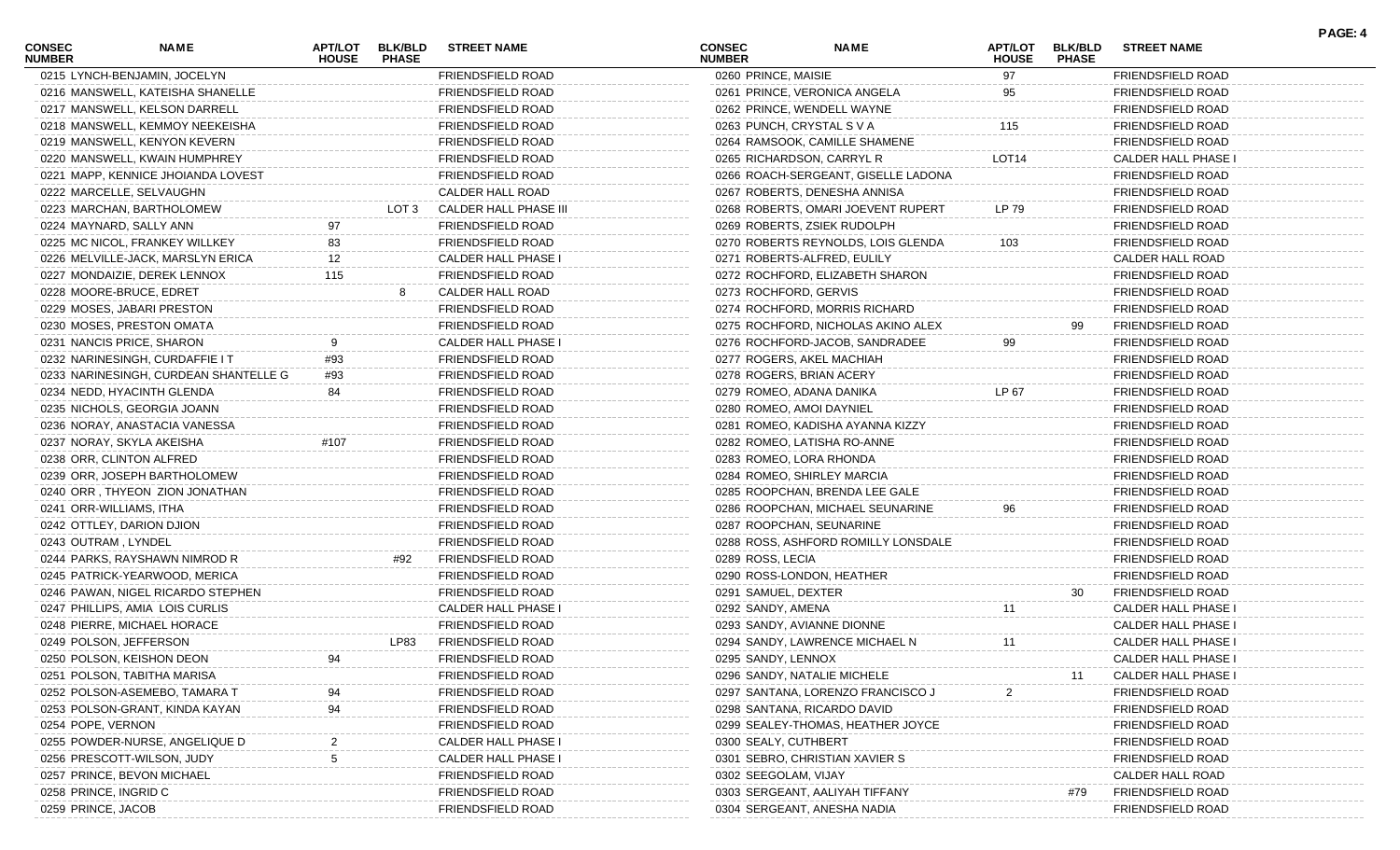| <b>CONSEC</b><br><b>NUMBER</b> | NAME                                  | <b>APT/LOT</b><br><b>HOUSE</b> | <b>BLK/BLD</b><br><b>PHASE</b> | <b>STREET NAME</b>       | <b>CONSEC</b><br><b>NUMBER</b> | <b>NAME</b>                         | APT/LOT<br><b>HOUSE</b> | <b>BLK/BLD</b><br><b>PHASE</b> | <b>STREET NAME</b>       | PAGE: 4 |
|--------------------------------|---------------------------------------|--------------------------------|--------------------------------|--------------------------|--------------------------------|-------------------------------------|-------------------------|--------------------------------|--------------------------|---------|
| 0215 LYNCH-BENJAMIN, JOCELYN   |                                       |                                |                                | FRIENDSFIELD ROAD        | 0260 PRINCE, MAISIE            |                                     | 97                      |                                | FRIENDSFIELD ROAD        |         |
|                                | 0216 MANSWELL, KATEISHA SHANELLE      |                                |                                | <b>FRIENDSFIELD ROAD</b> |                                | 0261 PRINCE, VERONICA ANGELA        | 95                      |                                | <b>FRIENDSFIELD ROAD</b> |         |
|                                | 0217 MANSWELL, KELSON DARRELL         |                                |                                | FRIENDSFIELD ROAD        |                                | 0262 PRINCE, WENDELL WAYNE          |                         |                                | FRIENDSFIELD ROAD        |         |
|                                | 0218 MANSWELL, KEMMOY NEEKEISHA       |                                |                                | FRIENDSFIELD ROAD        | 0263 PUNCH, CRYSTAL S V A      |                                     | 115                     |                                | FRIENDSFIELD ROAD        |         |
|                                | 0219 MANSWELL, KENYON KEVERN          |                                |                                | FRIENDSFIELD ROAD        |                                | 0264 RAMSOOK, CAMILLE SHAMENE       |                         |                                | <b>FRIENDSFIELD ROAD</b> |         |
|                                | 0220 MANSWELL, KWAIN HUMPHREY         |                                |                                | FRIENDSFIELD ROAD        |                                | 0265 RICHARDSON, CARRYL R           | LOT <sub>14</sub>       |                                | CALDER HALL PHASE I      |         |
|                                | 0221 MAPP, KENNICE JHOIANDA LOVEST    |                                |                                | FRIENDSFIELD ROAD        |                                | 0266 ROACH-SERGEANT, GISELLE LADONA |                         |                                | <b>FRIENDSFIELD ROAD</b> |         |
|                                | 0222 MARCELLE, SELVAUGHN              |                                |                                | CALDER HALL ROAD         |                                | 0267 ROBERTS, DENESHA ANNISA        |                         |                                | <b>FRIENDSFIELD ROAD</b> |         |
|                                | 0223 MARCHAN, BARTHOLOMEW             |                                | LOT 3                          | CALDER HALL PHASE III    |                                | 0268 ROBERTS, OMARI JOEVENT RUPERT  | LP 79                   |                                | <b>FRIENDSFIELD ROAD</b> |         |
| 0224 MAYNARD, SALLY ANN        |                                       | 97                             |                                | <b>FRIENDSFIELD ROAD</b> |                                | 0269 ROBERTS, ZSIEK RUDOLPH         |                         |                                | <b>FRIENDSFIELD ROAD</b> |         |
|                                | 0225 MC NICOL, FRANKEY WILLKEY        | 83                             |                                | FRIENDSFIELD ROAD        |                                | 0270 ROBERTS REYNOLDS, LOIS GLENDA  | 103                     |                                | <b>FRIENDSFIELD ROAD</b> |         |
|                                | 0226 MELVILLE-JACK, MARSLYN ERICA     | 12                             |                                | CALDER HALL PHASE I      |                                | 0271 ROBERTS-ALFRED, EULILY         |                         |                                | CALDER HALL ROAD         |         |
|                                | 0227 MONDAIZIE, DEREK LENNOX          | 115                            |                                | FRIENDSFIELD ROAD        |                                | 0272 ROCHFORD, ELIZABETH SHARON     |                         |                                | <b>FRIENDSFIELD ROAD</b> |         |
|                                | 0228 MOORE-BRUCE, EDRET               |                                | 8                              | <b>CALDER HALL ROAD</b>  | 0273 ROCHFORD, GERVIS          |                                     |                         |                                | <b>FRIENDSFIELD ROAD</b> |         |
|                                | 0229 MOSES, JABARI PRESTON            |                                |                                | FRIENDSFIELD ROAD        |                                | 0274 ROCHFORD, MORRIS RICHARD       |                         |                                | <b>FRIENDSFIELD ROAD</b> |         |
|                                | 0230 MOSES, PRESTON OMATA             |                                |                                | FRIENDSFIELD ROAD        |                                | 0275 ROCHFORD, NICHOLAS AKINO ALEX  |                         | 99                             | <b>FRIENDSFIELD ROAD</b> |         |
|                                | 0231 NANCIS PRICE, SHARON             | 9                              |                                | CALDER HALL PHASE I      |                                | 0276 ROCHFORD-JACOB, SANDRADEE      | 99                      |                                | <b>FRIENDSFIELD ROAD</b> |         |
|                                | 0232 NARINESINGH, CURDAFFIE IT        | #93                            |                                | FRIENDSFIELD ROAD        |                                | 0277 ROGERS, AKEL MACHIAH           |                         |                                | <b>FRIENDSFIELD ROAD</b> |         |
|                                | 0233 NARINESINGH, CURDEAN SHANTELLE G | #93                            |                                | FRIENDSFIELD ROAD        | 0278 ROGERS, BRIAN ACERY       |                                     |                         |                                | <b>FRIENDSFIELD ROAD</b> |         |
|                                | 0234 NEDD, HYACINTH GLENDA            | 84                             |                                | FRIENDSFIELD ROAD        | 0279 ROMEO, ADANA DANIKA       |                                     | LP 67                   |                                | <b>FRIENDSFIELD ROAD</b> |         |
|                                | 0235 NICHOLS, GEORGIA JOANN           |                                |                                | FRIENDSFIELD ROAD        | 0280 ROMEO, AMOI DAYNIEL       |                                     |                         |                                | <b>FRIENDSFIELD ROAD</b> |         |
|                                | 0236 NORAY, ANASTACIA VANESSA         |                                |                                | FRIENDSFIELD ROAD        |                                | 0281 ROMEO, KADISHA AYANNA KIZZY    |                         |                                | <b>FRIENDSFIELD ROAD</b> |         |
|                                | 0237 NORAY, SKYLA AKEISHA             | #107                           |                                | FRIENDSFIELD ROAD        |                                | 0282 ROMEO, LATISHA RO-ANNE         |                         |                                | <b>FRIENDSFIELD ROAD</b> |         |
| 0238 ORR, CLINTON ALFRED       |                                       |                                |                                | FRIENDSFIELD ROAD        | 0283 ROMEO, LORA RHONDA        |                                     |                         |                                | <b>FRIENDSFIELD ROAD</b> |         |
|                                | 0239 ORR, JOSEPH BARTHOLOMEW          |                                |                                | FRIENDSFIELD ROAD        |                                | 0284 ROMEO, SHIRLEY MARCIA          |                         |                                | <b>FRIENDSFIELD ROAD</b> |         |
|                                | 0240 ORR, THYEON ZION JONATHAN        |                                |                                | FRIENDSFIELD ROAD        |                                | 0285 ROOPCHAN, BRENDA LEE GALE      |                         |                                | <b>FRIENDSFIELD ROAD</b> |         |
| 0241 ORR-WILLIAMS, ITHA        |                                       |                                |                                | FRIENDSFIELD ROAD        |                                | 0286 ROOPCHAN, MICHAEL SEUNARINE    | 96                      |                                | <b>FRIENDSFIELD ROAD</b> |         |
|                                | 0242 OTTLEY, DARION DJION             |                                |                                | FRIENDSFIELD ROAD        |                                | 0287 ROOPCHAN, SEUNARINE            |                         |                                | <b>FRIENDSFIELD ROAD</b> |         |
| 0243 OUTRAM, LYNDEL            |                                       |                                |                                | <b>FRIENDSFIELD ROAD</b> |                                | 0288 ROSS, ASHFORD ROMILLY LONSDALE |                         |                                | <b>FRIENDSFIELD ROAD</b> |         |
|                                | 0244 PARKS, RAYSHAWN NIMROD R         |                                | #92                            | <b>FRIENDSFIELD ROAD</b> | 0289 ROSS, LECIA               |                                     |                         |                                | <b>FRIENDSFIELD ROAD</b> |         |
|                                | 0245 PATRICK-YEARWOOD, MERICA         |                                |                                | FRIENDSFIELD ROAD        |                                | 0290 ROSS-LONDON, HEATHER           |                         |                                | <b>FRIENDSFIELD ROAD</b> |         |
|                                | 0246 PAWAN, NIGEL RICARDO STEPHEN     |                                |                                | FRIENDSFIELD ROAD        | 0291 SAMUEL, DEXTER            |                                     |                         | 30                             | FRIENDSFIELD ROAD        |         |
|                                | 0247 PHILLIPS, AMIA LOIS CURLIS       |                                |                                | CALDER HALL PHASE I      | 0292 SANDY, AMENA              |                                     | 11                      |                                | CALDER HALL PHASE I      |         |
|                                | 0248 PIERRE, MICHAEL HORACE           |                                |                                | FRIENDSFIELD ROAD        |                                | 0293 SANDY, AVIANNE DIONNE          |                         |                                | CALDER HALL PHASE I      |         |
| 0249 POLSON, JEFFERSON         |                                       |                                | LP83                           | FRIENDSFIELD ROAD        |                                | 0294 SANDY, LAWRENCE MICHAEL N      | 11                      |                                | CALDER HALL PHASE I      |         |
|                                | 0250 POLSON, KEISHON DEON             | 94                             |                                | <b>FRIENDSFIELD ROAD</b> | 0295 SANDY, LENNOX             |                                     |                         |                                | CALDER HALL PHASE I      |         |
|                                | 0251 POLSON, TABITHA MARISA           |                                |                                | FRIENDSFIELD ROAD        |                                | 0296 SANDY, NATALIE MICHELE         |                         | 11                             | CALDER HALL PHASE I      |         |
|                                | 0252 POLSON-ASEMEBO, TAMARA T         |                                |                                | FRIENDSFIELD ROAD        |                                | 0297 SANTANA, LORENZO FRANCISCO J   |                         |                                | <b>FRIENDSFIELD ROAD</b> |         |
|                                | 0253 POLSON-GRANT, KINDA KAYAN        | 94                             |                                | FRIENDSFIELD ROAD        |                                | 0298 SANTANA, RICARDO DAVID         |                         |                                | <b>FRIENDSFIELD ROAD</b> |         |
| 0254 POPE, VERNON              |                                       |                                |                                | FRIENDSFIELD ROAD        |                                | 0299 SEALEY-THOMAS, HEATHER JOYCE   |                         |                                | FRIENDSFIELD ROAD        |         |
|                                | 0255 POWDER-NURSE, ANGELIQUE D        |                                |                                | CALDER HALL PHASE I      | 0300 SEALY, CUTHBERT           |                                     |                         |                                | <b>FRIENDSFIELD ROAD</b> |         |
|                                | 0256 PRESCOTT-WILSON, JUDY            |                                |                                | CALDER HALL PHASE I      |                                | 0301 SEBRO, CHRISTIAN XAVIER S      |                         |                                | <b>FRIENDSFIELD ROAD</b> |         |
|                                | 0257 PRINCE, BEVON MICHAEL            |                                |                                | FRIENDSFIELD ROAD        | 0302 SEEGOLAM, VIJAY           |                                     |                         |                                | CALDER HALL ROAD         |         |
| 0258 PRINCE, INGRID C          |                                       |                                |                                | FRIENDSFIELD ROAD        |                                | 0303 SERGEANT, AALIYAH TIFFANY      |                         | #79                            | FRIENDSFIELD ROAD        |         |
| 0259 PRINCE, JACOB             |                                       |                                |                                | FRIENDSFIELD ROAD        |                                | 0304 SERGEANT, ANESHA NADIA         |                         |                                | FRIENDSFIELD ROAD        |         |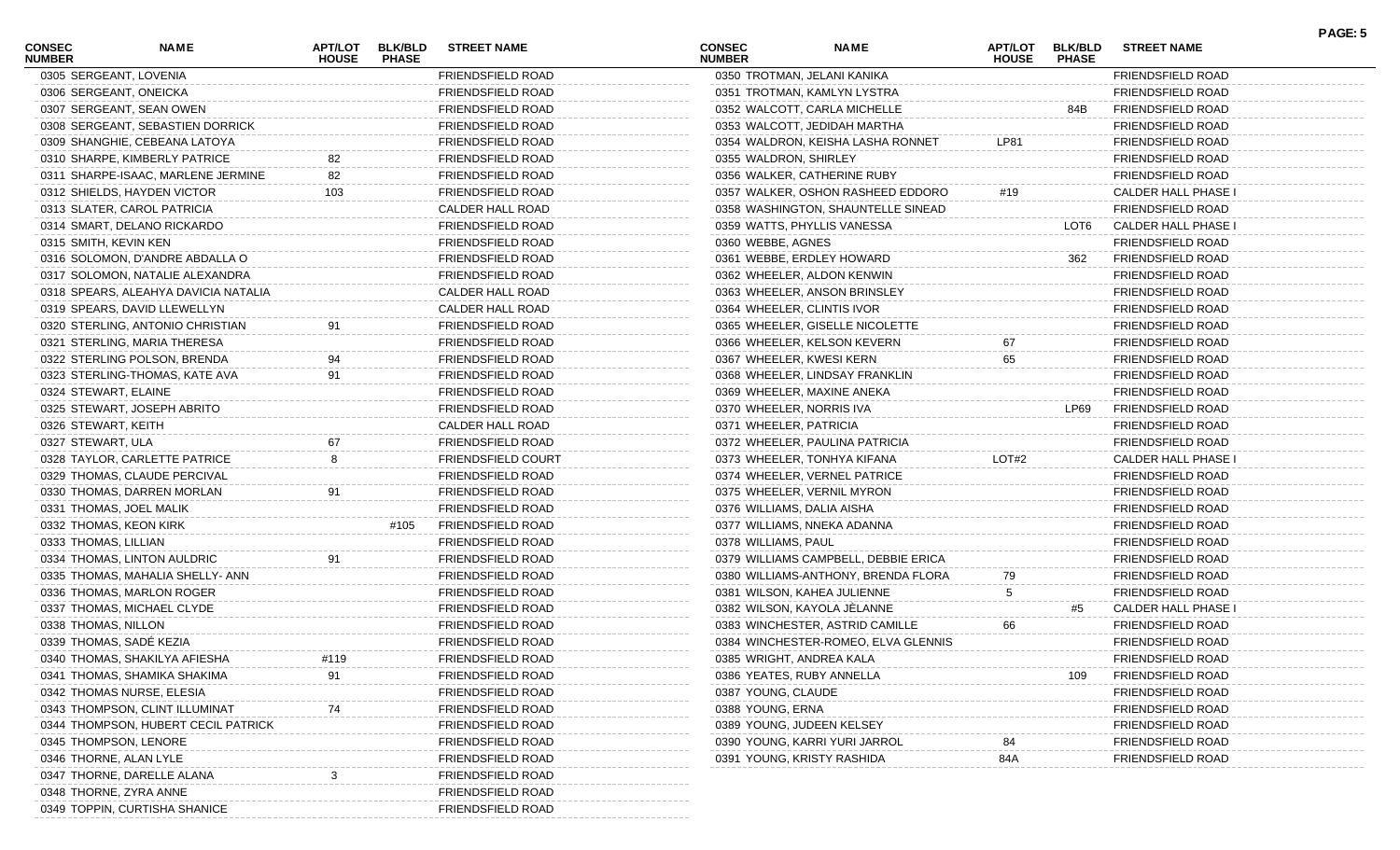| <b>CONSEC</b><br><b>NUMBER</b> | <b>NAME</b>                          | <b>HOUSE</b> | <b>APT/LOT BLK/BLD</b><br><b>PHASE</b> | <b>STREET NAME</b>        | <b>CONSEC</b><br><b>NUMBER</b> | <b>NAME</b>                          | <b>HOUSE</b> | APT/LOT BLK/BLD<br><b>PHASE</b> | <b>STREET NAME</b>         |
|--------------------------------|--------------------------------------|--------------|----------------------------------------|---------------------------|--------------------------------|--------------------------------------|--------------|---------------------------------|----------------------------|
|                                | 0305 SERGEANT, LOVENIA               |              |                                        | FRIENDSFIELD ROAD         |                                | 0350 TROTMAN, JELANI KANIKA          |              |                                 | FRIENDSFIELD ROAD          |
|                                | 0306 SERGEANT, ONEICKA               |              |                                        | <b>FRIENDSFIELD ROAD</b>  |                                | 0351 TROTMAN, KAMLYN LYSTRA          |              |                                 | <b>FRIENDSFIELD ROAD</b>   |
|                                | 0307 SERGEANT, SEAN OWEN             |              |                                        | <b>FRIENDSFIELD ROAD</b>  |                                | 0352 WALCOTT, CARLA MICHELLE         |              | 84B                             | <b>FRIENDSFIELD ROAD</b>   |
|                                | 0308 SERGEANT, SEBASTIEN DORRICK     |              |                                        | <b>FRIENDSFIELD ROAD</b>  |                                | 0353 WALCOTT, JEDIDAH MARTHA         |              |                                 | <b>FRIENDSFIELD ROAD</b>   |
|                                | 0309 SHANGHIE, CEBEANA LATOYA        |              |                                        | <b>FRIENDSFIELD ROAD</b>  |                                | 0354 WALDRON, KEISHA LASHA RONNET    | <b>LP81</b>  |                                 | <b>FRIENDSFIELD ROAD</b>   |
|                                | 0310 SHARPE, KIMBERLY PATRICE        | 82           |                                        | <b>FRIENDSFIELD ROAD</b>  | 0355 WALDRON, SHIRLEY          |                                      |              |                                 | <b>FRIENDSFIELD ROAD</b>   |
|                                | 0311 SHARPE-ISAAC, MARLENE JERMINE   | 82           |                                        | <b>FRIENDSFIELD ROAD</b>  |                                | 0356 WALKER, CATHERINE RUBY          |              |                                 | <b>FRIENDSFIELD ROAD</b>   |
|                                | 0312 SHIELDS, HAYDEN VICTOR          | 103          |                                        | <b>FRIENDSFIELD ROAD</b>  |                                | 0357 WALKER, OSHON RASHEED EDDORO    | #19          |                                 | <b>CALDER HALL PHASE I</b> |
|                                | 0313 SLATER, CAROL PATRICIA          |              |                                        | CALDER HALL ROAD          |                                | 0358 WASHINGTON, SHAUNTELLE SINEAD   |              |                                 | <b>FRIENDSFIELD ROAD</b>   |
|                                | 0314 SMART, DELANO RICKARDO          |              |                                        | <b>FRIENDSFIELD ROAD</b>  |                                | 0359 WATTS, PHYLLIS VANESSA          |              | LOT6                            | CALDER HALL PHASE I        |
| 0315 SMITH, KEVIN KEN          |                                      |              |                                        | <b>FRIENDSFIELD ROAD</b>  | 0360 WEBBE, AGNES              |                                      |              |                                 | <b>FRIENDSFIELD ROAD</b>   |
|                                | 0316 SOLOMON, D'ANDRE ABDALLA O      |              |                                        | <b>FRIENDSFIELD ROAD</b>  |                                | 0361 WEBBE, ERDLEY HOWARD            |              | 362                             | <b>FRIENDSFIELD ROAD</b>   |
|                                | 0317 SOLOMON, NATALIE ALEXANDRA      |              |                                        | <b>FRIENDSFIELD ROAD</b>  |                                | 0362 WHEELER, ALDON KENWIN           |              |                                 | <b>FRIENDSFIELD ROAD</b>   |
|                                | 0318 SPEARS, ALEAHYA DAVICIA NATALIA |              |                                        | CALDER HALL ROAD          |                                | 0363 WHEELER, ANSON BRINSLEY         |              |                                 | <b>FRIENDSFIELD ROAD</b>   |
|                                | 0319 SPEARS, DAVID LLEWELLYN         |              |                                        | CALDER HALL ROAD          |                                | 0364 WHEELER, CLINTIS IVOR           |              |                                 | <b>FRIENDSFIELD ROAD</b>   |
|                                | 0320 STERLING, ANTONIO CHRISTIAN     | 91           |                                        | <b>FRIENDSFIELD ROAD</b>  |                                | 0365 WHEELER, GISELLE NICOLETTE      |              |                                 | <b>FRIENDSFIELD ROAD</b>   |
|                                | 0321 STERLING, MARIA THERESA         |              |                                        | <b>FRIENDSFIELD ROAD</b>  |                                | 0366 WHEELER, KELSON KEVERN          | 67           |                                 | <b>FRIENDSFIELD ROAD</b>   |
|                                | 0322 STERLING POLSON, BRENDA         | 94           |                                        | <b>FRIENDSFIELD ROAD</b>  | 0367 WHEELER, KWESI KERN       |                                      | 65           |                                 | <b>FRIENDSFIELD ROAD</b>   |
|                                | 0323 STERLING-THOMAS, KATE AVA       | 91           |                                        | <b>FRIENDSFIELD ROAD</b>  |                                | 0368 WHEELER, LINDSAY FRANKLIN       |              |                                 | <b>FRIENDSFIELD ROAD</b>   |
| 0324 STEWART, ELAINE           |                                      |              |                                        | <b>FRIENDSFIELD ROAD</b>  |                                | 0369 WHEELER, MAXINE ANEKA           |              |                                 | <b>FRIENDSFIELD ROAD</b>   |
|                                | 0325 STEWART, JOSEPH ABRITO          |              |                                        | <b>FRIENDSFIELD ROAD</b>  | 0370 WHEELER, NORRIS IVA       |                                      |              | LP69                            | <b>FRIENDSFIELD ROAD</b>   |
| 0326 STEWART, KEITH            |                                      |              |                                        | CALDER HALL ROAD          | 0371 WHEELER, PATRICIA         |                                      |              |                                 | <b>FRIENDSFIELD ROAD</b>   |
| 0327 STEWART, ULA              |                                      | 67           |                                        | <b>FRIENDSFIELD ROAD</b>  |                                | 0372 WHEELER, PAULINA PATRICIA       |              |                                 | <b>FRIENDSFIELD ROAD</b>   |
|                                | 0328 TAYLOR, CARLETTE PATRICE        | 8            |                                        | <b>FRIENDSFIELD COURT</b> |                                | 0373 WHEELER, TONHYA KIFANA          | LOT#2        |                                 | <b>CALDER HALL PHASE I</b> |
|                                | 0329 THOMAS, CLAUDE PERCIVAL         |              |                                        | <b>FRIENDSFIELD ROAD</b>  |                                | 0374 WHEELER, VERNEL PATRICE         |              |                                 | <b>FRIENDSFIELD ROAD</b>   |
|                                | 0330 THOMAS, DARREN MORLAN           | 91           |                                        | <b>FRIENDSFIELD ROAD</b>  |                                | 0375 WHEELER, VERNIL MYRON           |              |                                 | <b>FRIENDSFIELD ROAD</b>   |
|                                | 0331 THOMAS, JOEL MALIK              |              |                                        | <b>FRIENDSFIELD ROAD</b>  | 0376 WILLIAMS, DALIA AISHA     |                                      |              |                                 | <b>FRIENDSFIELD ROAD</b>   |
|                                | 0332 THOMAS, KEON KIRK               |              | #105                                   | <b>FRIENDSFIELD ROAD</b>  |                                | 0377 WILLIAMS, NNEKA ADANNA          |              |                                 | <b>FRIENDSFIELD ROAD</b>   |
| 0333 THOMAS, LILLIAN           |                                      |              |                                        | <b>FRIENDSFIELD ROAD</b>  | 0378 WILLIAMS, PAUL            |                                      |              |                                 | <b>FRIENDSFIELD ROAD</b>   |
|                                | 0334 THOMAS, LINTON AULDRIC          | 91           |                                        | <b>FRIENDSFIELD ROAD</b>  |                                | 0379 WILLIAMS CAMPBELL, DEBBIE ERICA |              |                                 | <b>FRIENDSFIELD ROAD</b>   |
|                                | 0335 THOMAS, MAHALIA SHELLY- ANN     |              |                                        | <b>FRIENDSFIELD ROAD</b>  |                                | 0380 WILLIAMS-ANTHONY, BRENDA FLORA  | 79           |                                 | <b>FRIENDSFIELD ROAD</b>   |
|                                | 0336 THOMAS, MARLON ROGER            |              |                                        | <b>FRIENDSFIELD ROAD</b>  |                                | 0381 WILSON, KAHEA JULIENNE          | 5            |                                 | <b>FRIENDSFIELD ROAD</b>   |
|                                | 0337 THOMAS, MICHAEL CLYDE           |              |                                        | <b>FRIENDSFIELD ROAD</b>  |                                | 0382 WILSON, KAYOLA JÈLANNE          |              | #5                              | CALDER HALL PHASE I        |
| 0338 THOMAS, NILLON            |                                      |              |                                        | FRIENDSFIELD ROAD         |                                | 0383 WINCHESTER, ASTRID CAMILLE      | 66           |                                 | <b>FRIENDSFIELD ROAD</b>   |
|                                | 0339 THOMAS, SADÉ KEZIA              |              |                                        | <b>FRIENDSFIELD ROAD</b>  |                                | 0384 WINCHESTER-ROMEO, ELVA GLENNIS  |              |                                 | <b>FRIENDSFIELD ROAD</b>   |
|                                | 0340 THOMAS, SHAKILYA AFIESHA        | #119         |                                        | FRIENDSFIELD ROAD         | 0385 WRIGHT, ANDREA KALA       |                                      |              |                                 | FRIENDSFIELD ROAD          |
|                                | 0341 THOMAS, SHAMIKA SHAKIMA         | 91           |                                        | FRIENDSFIELD ROAD         | 0386 YEATES, RUBY ANNELLA      |                                      |              | 109                             | <b>FRIENDSFIELD ROAD</b>   |
|                                | 0342 THOMAS NURSE, ELESIA            |              |                                        | FRIENDSFIELD ROAD         | 0387 YOUNG, CLAUDE             |                                      |              |                                 | <b>FRIENDSFIELD ROAD</b>   |
|                                | 0343 THOMPSON, CLINT ILLUMINAT       |              |                                        | <b>FRIENDSFIELD ROAD</b>  | 0388 YOUNG, ERNA               |                                      |              |                                 | <b>FRIENDSFIELD ROAD</b>   |
|                                | 0344 THOMPSON, HUBERT CECIL PATRICK  |              |                                        | FRIENDSFIELD ROAD         |                                | 0389 YOUNG, JUDEEN KELSEY            |              |                                 | <b>FRIENDSFIELD ROAD</b>   |
|                                | 0345 THOMPSON, LENORE                |              |                                        | FRIENDSFIELD ROAD         |                                | 0390 YOUNG, KARRI YURI JARROL        |              |                                 | <b>FRIENDSFIELD ROAD</b>   |
| 0346 THORNE, ALAN LYLE         |                                      |              |                                        | <b>FRIENDSFIELD ROAD</b>  |                                | 0391 YOUNG, KRISTY RASHIDA           | 84A          |                                 | <b>FRIENDSFIELD ROAD</b>   |
|                                | 0347 THORNE, DARELLE ALANA           |              |                                        | FRIENDSFIELD ROAD         |                                |                                      |              |                                 |                            |
|                                | 0348 THORNE, ZYRA ANNE               |              |                                        | FRIENDSFIELD ROAD         |                                |                                      |              |                                 |                            |
|                                | 0349 TOPPIN, CURTISHA SHANICE        |              |                                        | FRIENDSFIELD ROAD         |                                |                                      |              |                                 |                            |